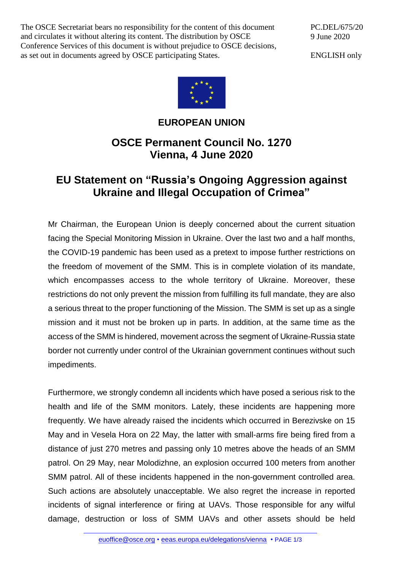The OSCE Secretariat bears no responsibility for the content of this document and circulates it without altering its content. The distribution by OSCE Conference Services of this document is without prejudice to OSCE decisions, as set out in documents agreed by OSCE participating States.

PC.DEL/675/20 9 June 2020

ENGLISH only



## **EUROPEAN UNION**

## **OSCE Permanent Council No. 1270 Vienna, 4 June 2020**

## **EU Statement on "Russia's Ongoing Aggression against Ukraine and Illegal Occupation of Crimea"**

Mr Chairman, the European Union is deeply concerned about the current situation facing the Special Monitoring Mission in Ukraine. Over the last two and a half months, the COVID-19 pandemic has been used as a pretext to impose further restrictions on the freedom of movement of the SMM. This is in complete violation of its mandate, which encompasses access to the whole territory of Ukraine. Moreover, these restrictions do not only prevent the mission from fulfilling its full mandate, they are also a serious threat to the proper functioning of the Mission. The SMM is set up as a single mission and it must not be broken up in parts. In addition, at the same time as the access of the SMM is hindered, movement across the segment of Ukraine-Russia state border not currently under control of the Ukrainian government continues without such impediments.

Furthermore, we strongly condemn all incidents which have posed a serious risk to the health and life of the SMM monitors. Lately, these incidents are happening more frequently. We have already raised the incidents which occurred in Berezivske on 15 May and in Vesela Hora on 22 May, the latter with small-arms fire being fired from a distance of just 270 metres and passing only 10 metres above the heads of an SMM patrol. On 29 May, near Molodizhne, an explosion occurred 100 meters from another SMM patrol. All of these incidents happened in the non-government controlled area. Such actions are absolutely unacceptable. We also regret the increase in reported incidents of signal interference or firing at UAVs. Those responsible for any wilful damage, destruction or loss of SMM UAVs and other assets should be held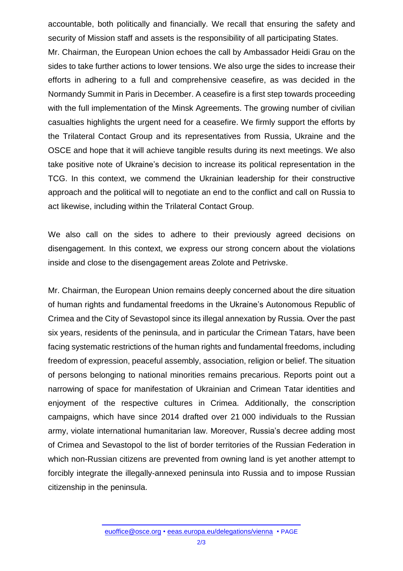accountable, both politically and financially. We recall that ensuring the safety and security of Mission staff and assets is the responsibility of all participating States. Mr. Chairman, the European Union echoes the call by Ambassador Heidi Grau on the sides to take further actions to lower tensions. We also urge the sides to increase their efforts in adhering to a full and comprehensive ceasefire, as was decided in the Normandy Summit in Paris in December. A ceasefire is a first step towards proceeding with the full implementation of the Minsk Agreements. The growing number of civilian casualties highlights the urgent need for a ceasefire. We firmly support the efforts by the Trilateral Contact Group and its representatives from Russia, Ukraine and the OSCE and hope that it will achieve tangible results during its next meetings. We also take positive note of Ukraine's decision to increase its political representation in the TCG. In this context, we commend the Ukrainian leadership for their constructive approach and the political will to negotiate an end to the conflict and call on Russia to act likewise, including within the Trilateral Contact Group.

We also call on the sides to adhere to their previously agreed decisions on disengagement. In this context, we express our strong concern about the violations inside and close to the disengagement areas Zolote and Petrivske.

Mr. Chairman, the European Union remains deeply concerned about the dire situation of human rights and fundamental freedoms in the Ukraine's Autonomous Republic of Crimea and the City of Sevastopol since its illegal annexation by Russia. Over the past six years, residents of the peninsula, and in particular the Crimean Tatars, have been facing systematic restrictions of the human rights and fundamental freedoms, including freedom of expression, peaceful assembly, association, religion or belief. The situation of persons belonging to national minorities remains precarious. Reports point out a narrowing of space for manifestation of Ukrainian and Crimean Tatar identities and enjoyment of the respective cultures in Crimea. Additionally, the conscription campaigns, which have since 2014 drafted over 21 000 individuals to the Russian army, violate international humanitarian law. Moreover, Russia's decree adding most of Crimea and Sevastopol to the list of border territories of the Russian Federation in which non-Russian citizens are prevented from owning land is yet another attempt to forcibly integrate the illegally-annexed peninsula into Russia and to impose Russian citizenship in the peninsula.